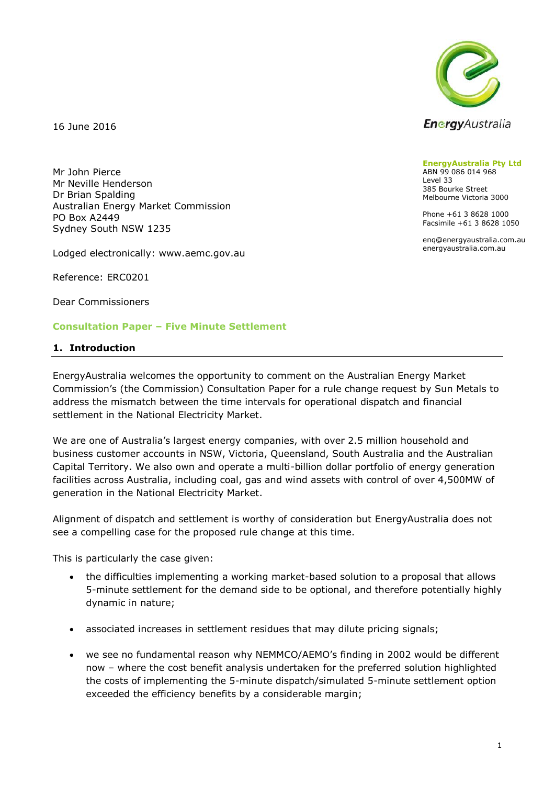

16 June 2016

Mr John Pierce Mr Neville Henderson Dr Brian Spalding Australian Energy Market Commission PO Box A2449 Sydney South NSW 1235

Lodged electronically: www.aemc.gov.au

Reference: ERC0201

Dear Commissioners

### **Consultation Paper – Five Minute Settlement**

#### **1. Introduction**

EnergyAustralia welcomes the opportunity to comment on the Australian Energy Market Commission's (the Commission) Consultation Paper for a rule change request by Sun Metals to address the mismatch between the time intervals for operational dispatch and financial settlement in the National Electricity Market.

We are one of Australia's largest energy companies, with over 2.5 million household and business customer accounts in NSW, Victoria, Queensland, South Australia and the Australian Capital Territory. We also own and operate a multi-billion dollar portfolio of energy generation facilities across Australia, including coal, gas and wind assets with control of over 4,500MW of generation in the National Electricity Market.

Alignment of dispatch and settlement is worthy of consideration but EnergyAustralia does not see a compelling case for the proposed rule change at this time.

This is particularly the case given:

- the difficulties implementing a working market-based solution to a proposal that allows 5-minute settlement for the demand side to be optional, and therefore potentially highly dynamic in nature;
- associated increases in settlement residues that may dilute pricing signals;
- we see no fundamental reason why NEMMCO/AEMO's finding in 2002 would be different now – where the cost benefit analysis undertaken for the preferred solution highlighted the costs of implementing the 5-minute dispatch/simulated 5-minute settlement option exceeded the efficiency benefits by a considerable margin;

**EnergyAustralia Pty Ltd** ABN 99 086 014 968 Level 33 385 Bourke Street Melbourne Victoria 3000

Phone +61 3 8628 1000 Facsimile +61 3 8628 1050

enq@energyaustralia.com.au energyaustralia.com.au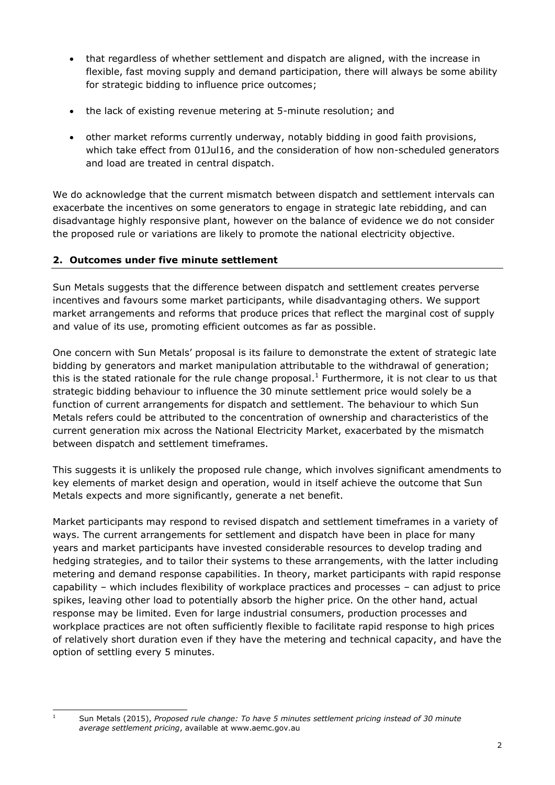- that regardless of whether settlement and dispatch are aligned, with the increase in flexible, fast moving supply and demand participation, there will always be some ability for strategic bidding to influence price outcomes;
- the lack of existing revenue metering at 5-minute resolution; and
- other market reforms currently underway, notably bidding in good faith provisions, which take effect from 01Jul16, and the consideration of how non-scheduled generators and load are treated in central dispatch.

We do acknowledge that the current mismatch between dispatch and settlement intervals can exacerbate the incentives on some generators to engage in strategic late rebidding, and can disadvantage highly responsive plant, however on the balance of evidence we do not consider the proposed rule or variations are likely to promote the national electricity objective.

## **2. Outcomes under five minute settlement**

Sun Metals suggests that the difference between dispatch and settlement creates perverse incentives and favours some market participants, while disadvantaging others. We support market arrangements and reforms that produce prices that reflect the marginal cost of supply and value of its use, promoting efficient outcomes as far as possible.

One concern with Sun Metals' proposal is its failure to demonstrate the extent of strategic late bidding by generators and market manipulation attributable to the withdrawal of generation; this is the stated rationale for the rule change proposal.<sup>1</sup> Furthermore, it is not clear to us that strategic bidding behaviour to influence the 30 minute settlement price would solely be a function of current arrangements for dispatch and settlement. The behaviour to which Sun Metals refers could be attributed to the concentration of ownership and characteristics of the current generation mix across the National Electricity Market, exacerbated by the mismatch between dispatch and settlement timeframes.

This suggests it is unlikely the proposed rule change, which involves significant amendments to key elements of market design and operation, would in itself achieve the outcome that Sun Metals expects and more significantly, generate a net benefit.

Market participants may respond to revised dispatch and settlement timeframes in a variety of ways. The current arrangements for settlement and dispatch have been in place for many years and market participants have invested considerable resources to develop trading and hedging strategies, and to tailor their systems to these arrangements, with the latter including metering and demand response capabilities. In theory, market participants with rapid response capability – which includes flexibility of workplace practices and processes – can adjust to price spikes, leaving other load to potentially absorb the higher price. On the other hand, actual response may be limited. Even for large industrial consumers, production processes and workplace practices are not often sufficiently flexible to facilitate rapid response to high prices of relatively short duration even if they have the metering and technical capacity, and have the option of settling every 5 minutes.

 $\overline{1}$ 

<sup>1</sup> Sun Metals (2015), *Proposed rule change: To have 5 minutes settlement pricing instead of 30 minute average settlement pricing*, available at www.aemc.gov.au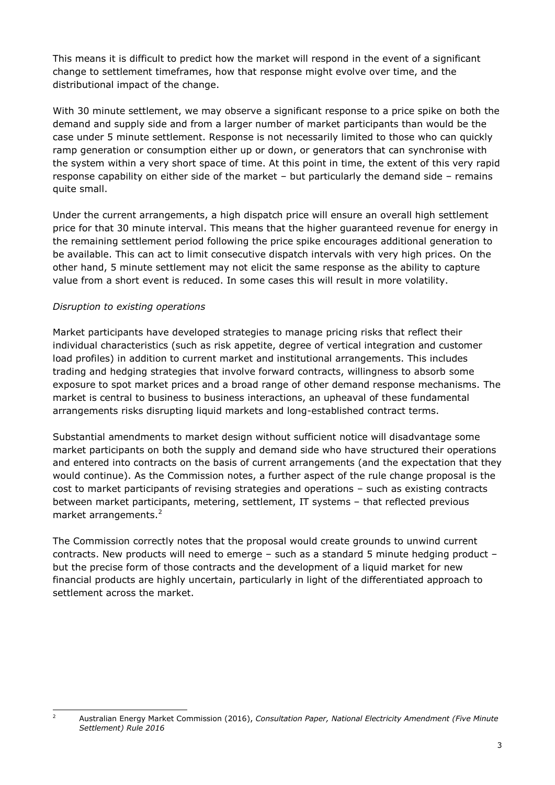This means it is difficult to predict how the market will respond in the event of a significant change to settlement timeframes, how that response might evolve over time, and the distributional impact of the change.

With 30 minute settlement, we may observe a significant response to a price spike on both the demand and supply side and from a larger number of market participants than would be the case under 5 minute settlement. Response is not necessarily limited to those who can quickly ramp generation or consumption either up or down, or generators that can synchronise with the system within a very short space of time. At this point in time, the extent of this very rapid response capability on either side of the market – but particularly the demand side – remains quite small.

Under the current arrangements, a high dispatch price will ensure an overall high settlement price for that 30 minute interval. This means that the higher guaranteed revenue for energy in the remaining settlement period following the price spike encourages additional generation to be available. This can act to limit consecutive dispatch intervals with very high prices. On the other hand, 5 minute settlement may not elicit the same response as the ability to capture value from a short event is reduced. In some cases this will result in more volatility.

## *Disruption to existing operations*

 $\overline{2}$ 

Market participants have developed strategies to manage pricing risks that reflect their individual characteristics (such as risk appetite, degree of vertical integration and customer load profiles) in addition to current market and institutional arrangements. This includes trading and hedging strategies that involve forward contracts, willingness to absorb some exposure to spot market prices and a broad range of other demand response mechanisms. The market is central to business to business interactions, an upheaval of these fundamental arrangements risks disrupting liquid markets and long-established contract terms.

Substantial amendments to market design without sufficient notice will disadvantage some market participants on both the supply and demand side who have structured their operations and entered into contracts on the basis of current arrangements (and the expectation that they would continue). As the Commission notes, a further aspect of the rule change proposal is the cost to market participants of revising strategies and operations – such as existing contracts between market participants, metering, settlement, IT systems – that reflected previous market arrangements. 2

The Commission correctly notes that the proposal would create grounds to unwind current contracts. New products will need to emerge – such as a standard 5 minute hedging product – but the precise form of those contracts and the development of a liquid market for new financial products are highly uncertain, particularly in light of the differentiated approach to settlement across the market.

<sup>2</sup> Australian Energy Market Commission (2016), *Consultation Paper, National Electricity Amendment (Five Minute Settlement) Rule 2016*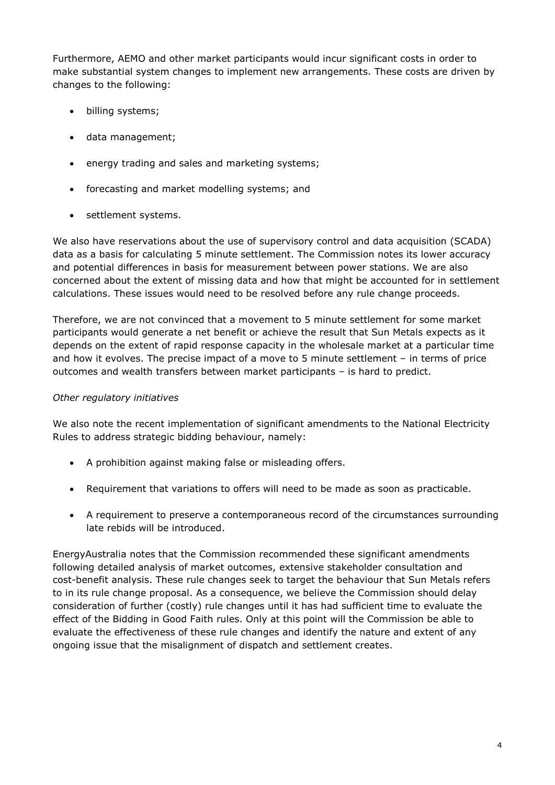Furthermore, AEMO and other market participants would incur significant costs in order to make substantial system changes to implement new arrangements. These costs are driven by changes to the following:

- billing systems;
- data management;
- energy trading and sales and marketing systems;
- forecasting and market modelling systems; and
- settlement systems.

We also have reservations about the use of supervisory control and data acquisition (SCADA) data as a basis for calculating 5 minute settlement. The Commission notes its lower accuracy and potential differences in basis for measurement between power stations. We are also concerned about the extent of missing data and how that might be accounted for in settlement calculations. These issues would need to be resolved before any rule change proceeds.

Therefore, we are not convinced that a movement to 5 minute settlement for some market participants would generate a net benefit or achieve the result that Sun Metals expects as it depends on the extent of rapid response capacity in the wholesale market at a particular time and how it evolves. The precise impact of a move to 5 minute settlement – in terms of price outcomes and wealth transfers between market participants – is hard to predict.

### *Other regulatory initiatives*

We also note the recent implementation of significant amendments to the National Electricity Rules to address strategic bidding behaviour, namely:

- A prohibition against making false or misleading offers.
- Requirement that variations to offers will need to be made as soon as practicable.
- A requirement to preserve a contemporaneous record of the circumstances surrounding late rebids will be introduced.

EnergyAustralia notes that the Commission recommended these significant amendments following detailed analysis of market outcomes, extensive stakeholder consultation and cost-benefit analysis. These rule changes seek to target the behaviour that Sun Metals refers to in its rule change proposal. As a consequence, we believe the Commission should delay consideration of further (costly) rule changes until it has had sufficient time to evaluate the effect of the Bidding in Good Faith rules. Only at this point will the Commission be able to evaluate the effectiveness of these rule changes and identify the nature and extent of any ongoing issue that the misalignment of dispatch and settlement creates.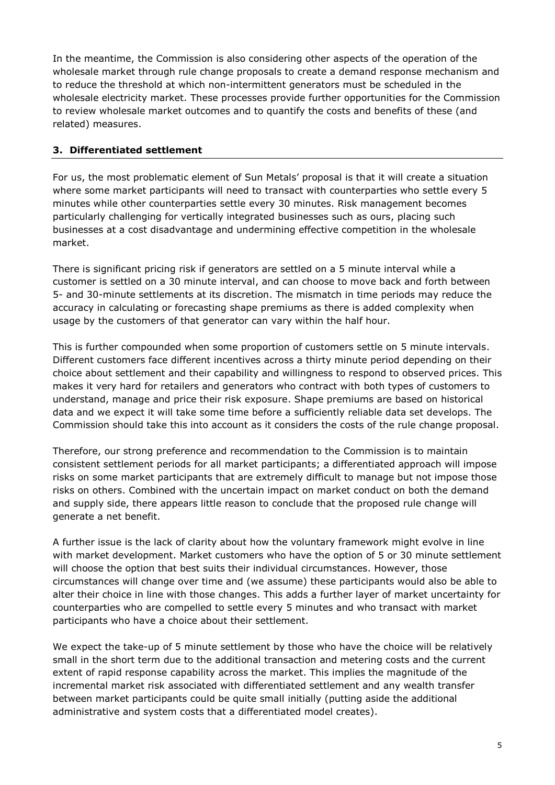In the meantime, the Commission is also considering other aspects of the operation of the wholesale market through rule change proposals to create a demand response mechanism and to reduce the threshold at which non-intermittent generators must be scheduled in the wholesale electricity market. These processes provide further opportunities for the Commission to review wholesale market outcomes and to quantify the costs and benefits of these (and related) measures.

# **3. Differentiated settlement**

For us, the most problematic element of Sun Metals' proposal is that it will create a situation where some market participants will need to transact with counterparties who settle every 5 minutes while other counterparties settle every 30 minutes. Risk management becomes particularly challenging for vertically integrated businesses such as ours, placing such businesses at a cost disadvantage and undermining effective competition in the wholesale market.

There is significant pricing risk if generators are settled on a 5 minute interval while a customer is settled on a 30 minute interval, and can choose to move back and forth between 5- and 30-minute settlements at its discretion. The mismatch in time periods may reduce the accuracy in calculating or forecasting shape premiums as there is added complexity when usage by the customers of that generator can vary within the half hour.

This is further compounded when some proportion of customers settle on 5 minute intervals. Different customers face different incentives across a thirty minute period depending on their choice about settlement and their capability and willingness to respond to observed prices. This makes it very hard for retailers and generators who contract with both types of customers to understand, manage and price their risk exposure. Shape premiums are based on historical data and we expect it will take some time before a sufficiently reliable data set develops. The Commission should take this into account as it considers the costs of the rule change proposal.

Therefore, our strong preference and recommendation to the Commission is to maintain consistent settlement periods for all market participants; a differentiated approach will impose risks on some market participants that are extremely difficult to manage but not impose those risks on others. Combined with the uncertain impact on market conduct on both the demand and supply side, there appears little reason to conclude that the proposed rule change will generate a net benefit.

A further issue is the lack of clarity about how the voluntary framework might evolve in line with market development. Market customers who have the option of 5 or 30 minute settlement will choose the option that best suits their individual circumstances. However, those circumstances will change over time and (we assume) these participants would also be able to alter their choice in line with those changes. This adds a further layer of market uncertainty for counterparties who are compelled to settle every 5 minutes and who transact with market participants who have a choice about their settlement.

We expect the take-up of 5 minute settlement by those who have the choice will be relatively small in the short term due to the additional transaction and metering costs and the current extent of rapid response capability across the market. This implies the magnitude of the incremental market risk associated with differentiated settlement and any wealth transfer between market participants could be quite small initially (putting aside the additional administrative and system costs that a differentiated model creates).